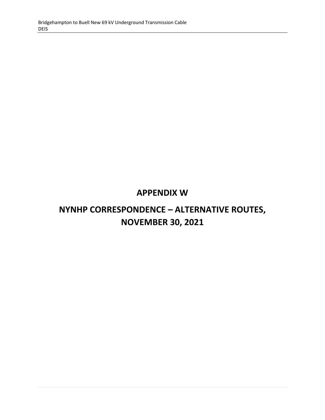# **APPENDIX W**

# **NYNHP CORRESPONDENCE – ALTERNATIVE ROUTES, NOVEMBER 30, 2021**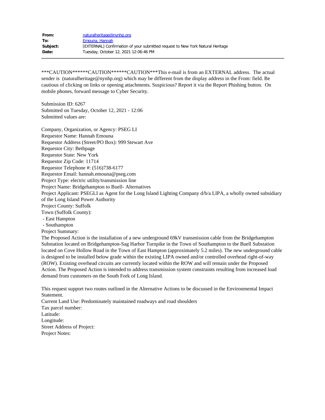| From:    | naturalheritage@nynhp.org                                                      |
|----------|--------------------------------------------------------------------------------|
| To:      | Emouna, Hannah                                                                 |
| Subject: | [EXTERNAL] Confirmation of your submitted request to New York Natural Heritage |
| Date:    | Tuesday, October 12, 2021 12:06:46 PM                                          |

\*\*\*CAUTION\*\*\*\*\*\*CAUTION\*\*\*\*\*\*CAUTION\*\*\*This e-mail is from an EXTERNAL address. The actual sender is (naturalheritage@nynhp.org) which may be different from the display address in the From: field. Be cautious of clicking on links or opening attachments. Suspicious? Report it via the Report Phishing button. On mobile phones, forward message to Cyber Security.

Submission ID: 6267 Submitted on Tuesday, October 12, 2021 - 12:06 Submitted values are:

Company, Organization, or Agency: PSEG LI Requestor Name: Hannah Emouna Requestor Address (Street/PO Box): 999 Stewart Ave Requestor City: Bethpage Requestor State: New York Requestor Zip Code: 11714 Requestor Telephone #: (516)738-6177 Requestor Email: hannah.emouna@pseg.com Project Type: electric utility/transmission line Project Name: Bridgehampton to Buell- Alternatives Project Applicant: PSEGLI as Agent for the Long Island Lighting Company d/b/a LIPA, a wholly owned subsidiary of the Long Island Power Authority Project County: Suffolk Town (Suffolk County): - East Hampton - Southampton Project Summary:

The Proposed Action is the installation of a new underground 69kV transmission cable from the Bridgehampton Substation located on Bridgehampton-Sag Harbor Turnpike in the Town of Southampton to the Buell Substation located on Cove Hollow Road in the Town of East Hampton (approximately 5.2 miles). The new underground cable is designed to be installed below grade within the existing LIPA owned and/or controlled overhead right-of-way (ROW). Existing overhead circuits are currently located within the ROW and will remain under the Proposed Action. The Proposed Action is intended to address transmission system constraints resulting from increased load demand from customers on the South Fork of Long Island.

This request support two routes outlined in the Alternative Actions to be discussed in the Environmental Impact Statement.

Current Land Use: Predominately maintained roadways and road shoulders Tax parcel number: Latitude: Longitude: Street Address of Project: Project Notes: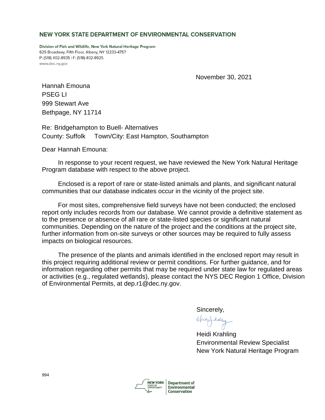#### NEW YORK STATE DEPARTMENT OF ENVIRONMENTAL CONSERVATION

Division of Fish and Wildlife, New York Natural Heritage Program 625 Broadway, Fifth Floor, Albany, NY 12233-4757 P: (518) 402-8935 | F: (518) 402-8925 www.dec.nv.gov

November 30, 2021

Hannah Emouna PSEG LI 999 Stewart Ave Bethpage, NY 11714

Re: Bridgehampton to Buell- Alternatives County: Suffolk Town/City: East Hampton, Southampton

Dear Hannah Emouna:

 In response to your recent request, we have reviewed the New York Natural Heritage Program database with respect to the above project.

 Enclosed is a report of rare or state-listed animals and plants, and significant natural communities that our database indicates occur in the vicinity of the project site.

 For most sites, comprehensive field surveys have not been conducted; the enclosed report only includes records from our database. We cannot provide a definitive statement as to the presence or absence of all rare or state-listed species or significant natural communities. Depending on the nature of the project and the conditions at the project site, further information from on-site surveys or other sources may be required to fully assess impacts on biological resources.

 The presence of the plants and animals identified in the enclosed report may result in this project requiring additional review or permit conditions. For further guidance, and for information regarding other permits that may be required under state law for regulated areas or activities (e.g., regulated wetlands), please contact the NYS DEC Region 1 Office, Division of Environmental Permits, at dep.r1@dec.ny.gov.

Sincerely,

Huits & Kalding

Heidi Krahling Environmental Review Specialist New York Natural Heritage Program

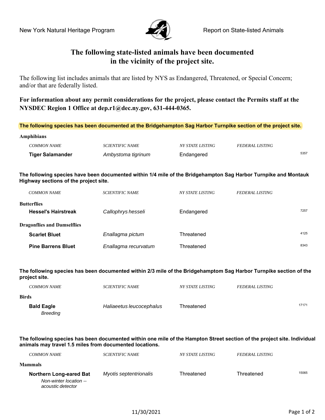**Amphibians**



# **The following state-listed animals have been documented in the vicinity of the project site.**

The following list includes animals that are listed by NYS as Endangered, Threatened, or Special Concern; and/or that are federally listed.

**For information about any permit considerations for the project, please contact the Permits staff at the NYSDEC Region 1 Office at dep.r1@dec.ny.gov, 631-444-0365.** 

**The following species has been documented at the Bridgehampton Sag Harbor Turnpike section of the project site.**

| <b>Tiger Salamander</b> | Ambystoma tigrinum     | Endangered              |                        | 5357 |
|-------------------------|------------------------|-------------------------|------------------------|------|
| <i>COMMON NAME</i>      | <i>SCIENTIFIC NAME</i> | <i>NY STATE LISTING</i> | <b>FEDERAL LISTING</b> |      |
| ****p***********        |                        |                         |                        |      |

**The following species have been documented within 1/4 mile of the Bridgehampton Sag Harbor Turnpike and Montauk Highway sections of the project site.**

| <b>COMMON NAME</b>                               | <i>SCIENTIFIC NAME</i> | <i>NY STATE LISTING</i> | <i>FEDERAL LISTING</i> |      |
|--------------------------------------------------|------------------------|-------------------------|------------------------|------|
| <b>Butterflies</b><br><b>Hessel's Hairstreak</b> | Callophrys hesseli     | Endangered              |                        | 7257 |
| <b>Dragonflies and Damselflies</b>               |                        |                         |                        |      |
| <b>Scarlet Bluet</b>                             | Enallagma pictum       | Threatened              |                        | 4125 |
| <b>Pine Barrens Bluet</b>                        | Enallagma recurvatum   | Threatened              |                        | 8343 |

**The following species has been documented within 2/3 mile of the Bridgehamptom Sag Harbor Turnpike section of the project site.** 

| <i>COMMON NAME</i>                   | <i>SCIENTIFIC NAME</i>   | <i>NY STATE LISTING</i> | <b>FEDERAL LISTING</b> |       |
|--------------------------------------|--------------------------|-------------------------|------------------------|-------|
| Birds                                |                          |                         |                        |       |
| <b>Bald Eagle</b><br><b>Breeding</b> | Haliaeetus leucocephalus | Threatened              |                        | 17171 |

The following species has been documented within one mile of the Hampton Street section of the project site. Individual **animals may travel 1.5 miles from documented locations.**

| <i>COMMON NAME</i>                          | <i>SCIENTIFIC NAME</i> | <i>NY STATE LISTING</i> | <b>FEDERAL LISTING</b> |       |
|---------------------------------------------|------------------------|-------------------------|------------------------|-------|
| <b>Mammals</b>                              |                        |                         |                        |       |
| <b>Northern Long-eared Bat</b>              | Myotis septentrionalis | Threatened              | Threatened             | 15065 |
| Non-winter location --<br>acoustic detector |                        |                         |                        |       |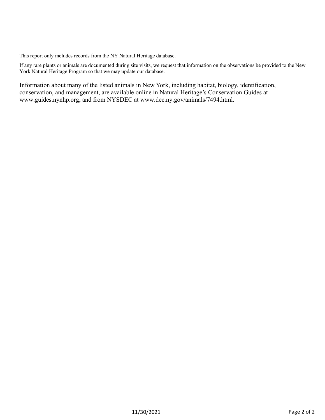This report only includes records from the NY Natural Heritage database.

If any rare plants or animals are documented during site visits, we request that information on the observations be provided to the New York Natural Heritage Program so that we may update our database.

Information about many of the listed animals in New York, including habitat, biology, identification, conservation, and management, are available online in Natural Heritage's Conservation Guides at www.guides.nynhp.org, and from NYSDEC at www.dec.ny.gov/animals/7494.html.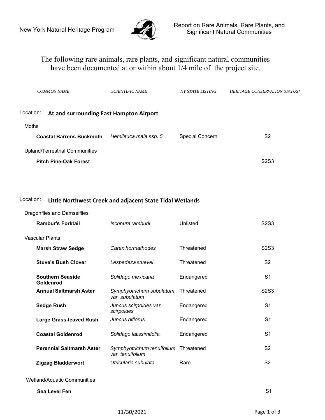

# The following rare animals, rare plants, and significant natural communities have been documented at or within about 1/4 mile of the project site.

| <b>COMMON NAME</b>                                   | <b>SCIENTIFIC NAME</b> | NY STATE LISTING | <b>HERITAGE CONSERVATION STATUS*</b> |
|------------------------------------------------------|------------------------|------------------|--------------------------------------|
| Location:<br>At and surrounding East Hampton Airport |                        |                  |                                      |
| Moths                                                |                        |                  |                                      |
| <b>Coastal Barrens Buckmoth</b>                      | Hemileuca maia ssp. 5  | Special Concern  | S2                                   |
| <b>Upland/Terrestrial Communities</b>                |                        |                  |                                      |
| <b>Pitch Pine-Oak Forest</b>                         |                        |                  | S <sub>2</sub> S <sub>3</sub>        |

### Location: **Little Northwest Creek and adjacent State Tidal Wetlands**

#### Dragonflies and Damselflies

| Ischnura ramburii                          | Unlisted   | S <sub>2</sub> S <sub>3</sub>         |
|--------------------------------------------|------------|---------------------------------------|
|                                            |            |                                       |
| Carex hormathodes                          | Threatened | S <sub>2</sub> S <sub>3</sub>         |
| Lespedeza stuevei                          | Threatened | S <sub>2</sub>                        |
| Solidago mexicana                          | Endangered | S <sub>1</sub>                        |
| Symphyotrichum subulatum<br>var. subulatum | Threatened | <b>S2S3</b>                           |
| Juncus scirpoides var.<br>scirpoides       | Endangered | S <sub>1</sub>                        |
| Juncus biflorus                            | Endangered | S <sub>1</sub>                        |
| Solidago latissimifolia                    | Endangered | S <sub>1</sub>                        |
| var. tenuifolium                           |            | S <sub>2</sub>                        |
| Utricularia subulata                       | Rare       | S <sub>2</sub>                        |
|                                            |            |                                       |
|                                            |            | S <sub>1</sub>                        |
|                                            |            | Symphyotrichum tenuifolium Threatened |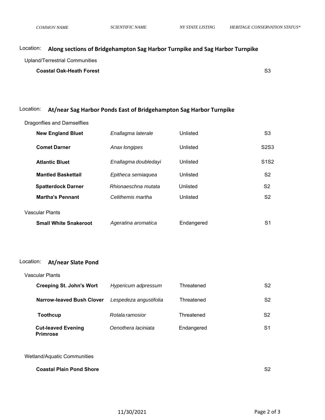# Location: **Along sections of Bridgehampton Sag Harbor Turnpike and Sag Harbor Turnpike**

Upland/Terrestrial Communities

**Coastal Oak-Heath Forest** S3

# Location: **At/near Sag Harbor Ponds East of Bridgehampton Sag Harbor Turnpike**

Dragonflies and Damselflies

| <b>New England Bluet</b>     | Enallagma laterale   | Unlisted   | S3                            |
|------------------------------|----------------------|------------|-------------------------------|
| <b>Comet Darner</b>          | Anax longipes        | Unlisted   | S <sub>2</sub> S <sub>3</sub> |
| <b>Atlantic Bluet</b>        | Enallagma doubledayi | Unlisted   | S <sub>1</sub> S <sub>2</sub> |
| <b>Mantled Baskettail</b>    | Epitheca semiaquea   | Unlisted   | S2                            |
| <b>Spatterdock Darner</b>    | Rhionaeschna mutata  | Unlisted   | S <sub>2</sub>                |
| <b>Martha's Pennant</b>      | Celithemis martha    | Unlisted   | S2                            |
| <b>Vascular Plants</b>       |                      |            |                               |
| <b>Small White Snakeroot</b> | Ageratina aromatica  | Endangered | S1                            |

#### Location: **At/near Slate Pond**

| Vascular Plants                              |                        |            |    |
|----------------------------------------------|------------------------|------------|----|
| <b>Creeping St. John's Wort</b>              | Hypericum adpressum    | Threatened | S2 |
| <b>Narrow-leaved Bush Clover</b>             | Lespedeza angustifolia | Threatened | S2 |
| <b>Toothcup</b>                              | Rotala ramosior        | Threatened | S2 |
| <b>Cut-leaved Evening</b><br><b>Primrose</b> | Oenothera laciniata    | Endangered | S1 |

#### Wetland/Aquatic Communities

| <b>Coastal Plain Pond Shore</b> | S2 |
|---------------------------------|----|
|                                 |    |